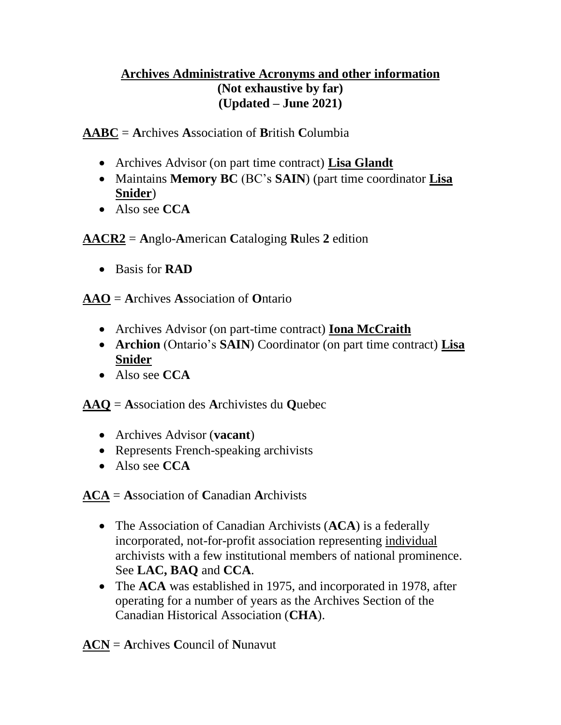## **Archives Administrative Acronyms and other information (Not exhaustive by far) (Updated – June 2021)**

**AABC** = **A**rchives **A**ssociation of **B**ritish **C**olumbia

- Archives Advisor (on part time contract) **Lisa Glandt**
- Maintains **Memory BC** (BC's **SAIN**) (part time coordinator **Lisa Snider**)
- Also see **CCA**

**AACR2** = **A**nglo-**A**merican **C**ataloging **R**ules **2** edition

• Basis for **RAD**

**AAO** = **A**rchives **A**ssociation of **O**ntario

- Archives Advisor (on part-time contract) **Iona McCraith**
- **Archion** (Ontario's **SAIN**) Coordinator (on part time contract) **Lisa Snider**
- Also see **CCA**

**AAQ** = **A**ssociation des **A**rchivistes du **Q**uebec

- Archives Advisor (**vacant**)
- Represents French-speaking archivists
- Also see **CCA**

**ACA** = **A**ssociation of **C**anadian **A**rchivists

- The Association of Canadian Archivists (**ACA**) is a federally incorporated, not-for-profit association representing individual archivists with a few institutional members of national prominence. See **LAC, BAQ** and **CCA**.
- The **ACA** was established in 1975, and incorporated in 1978, after operating for a number of years as the Archives Section of the Canadian Historical Association (**CHA**).

**ACN** = **A**rchives **C**ouncil of **N**unavut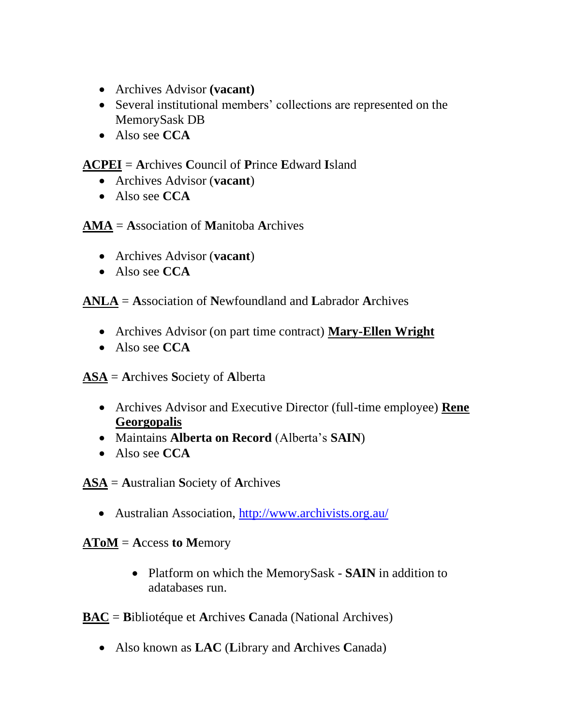- Archives Advisor **(vacant)**
- Several institutional members' collections are represented on the MemorySask DB
- Also see **CCA**

## **ACPEI** = **A**rchives **C**ouncil of **P**rince **E**dward **I**sland

- Archives Advisor (**vacant**)
- Also see **CCA**

**AMA** = **A**ssociation of **M**anitoba **A**rchives

- Archives Advisor (**vacant**)
- Also see **CCA**

**ANLA** = **A**ssociation of **N**ewfoundland and **L**abrador **A**rchives

- Archives Advisor (on part time contract) **Mary-Ellen Wright**
- Also see **CCA**

**ASA** = **A**rchives **S**ociety of **A**lberta

- Archives Advisor and Executive Director (full-time employee) **Rene Georgopalis**
- Maintains **Alberta on Record** (Alberta's **SAIN**)
- Also see **CCA**

**ASA** = **A**ustralian **S**ociety of **A**rchives

• Australian Association,<http://www.archivists.org.au/>

## **AToM** = **A**ccess **to M**emory

• Platform on which the MemorySask - **SAIN** in addition to adatabases run.

**BAC** = **B**ibliotéque et **A**rchives **C**anada (National Archives)

• Also known as **LAC** (**L**ibrary and **A**rchives **C**anada)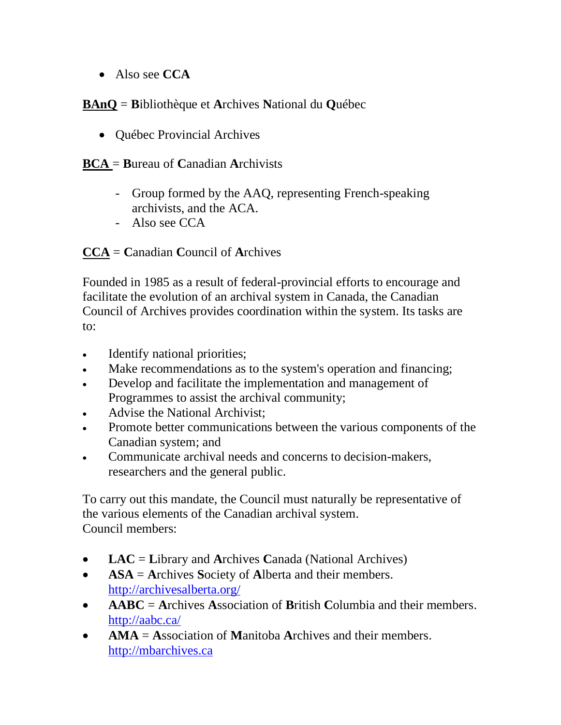• Also see **CCA**

## **BAnQ** = **B**ibliothèque et **A**rchives **N**ational du **Q**uébec

• Québec Provincial Archives

#### **BCA** = **B**ureau of **C**anadian **A**rchivists

- Group formed by the AAQ, representing French-speaking archivists, and the ACA.
- Also see CCA

**CCA** = **C**anadian **C**ouncil of **A**rchives

Founded in 1985 as a result of federal-provincial efforts to encourage and facilitate the evolution of an archival system in Canada, the Canadian Council of Archives provides coordination within the system. Its tasks are to:

- Identify national priorities;
- Make recommendations as to the system's operation and financing;
- Develop and facilitate the implementation and management of Programmes to assist the archival community;
- Advise the National Archivist;
- Promote better communications between the various components of the Canadian system; and
- Communicate archival needs and concerns to decision-makers, researchers and the general public.

To carry out this mandate, the Council must naturally be representative of the various elements of the Canadian archival system. Council members:

- **LAC** = **Library and Archives Canada** (National Archives)
- **ASA** = **A**rchives **S**ociety of **A**lberta and their members. <http://archivesalberta.org/>
- **AABC** = **A**rchives **A**ssociation of **B**ritish **C**olumbia and their members. <http://aabc.ca/>
- **AMA** = **A**ssociation of **M**anitoba **A**rchives and their members. [http://mbarchives.ca](http://mbarchives.ca/)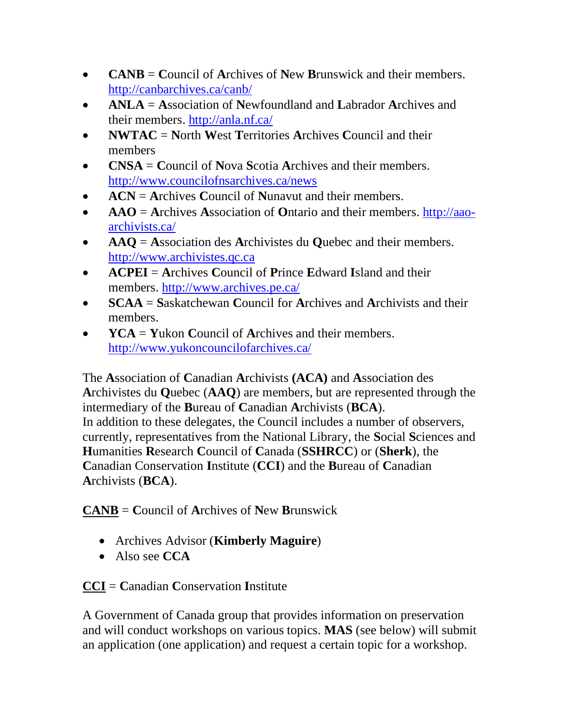- **CANB** = **C**ouncil of **A**rchives of **N**ew **B**runswick and their members. <http://canbarchives.ca/canb/>
- **ANLA** = **A**ssociation of **N**ewfoundland and **L**abrador **A**rchives and their members. <http://anla.nf.ca/>
- **NWTAC** = **N**orth **W**est **T**erritories **A**rchives **C**ouncil and their members
- **CNSA** = **C**ouncil of **N**ova **S**cotia **A**rchives and their members. <http://www.councilofnsarchives.ca/news>
- **ACN** = **A**rchives **C**ouncil of **N**unavut and their members.
- **AAO** = **A**rchives **A**ssociation of **O**ntario and their members. [http://aao](http://aao-archivists.ca/)[archivists.ca/](http://aao-archivists.ca/)
- **AAQ** = **A**ssociation des **A**rchivistes du **Q**uebec and their members. [http://www.archivistes.qc.ca](http://www.archivistes.qc.ca/)
- **ACPEI** = **A**rchives **C**ouncil of **P**rince **E**dward **I**sland and their members. <http://www.archives.pe.ca/>
- **SCAA** = **S**askatchewan **C**ouncil for **A**rchives and **A**rchivists and their members.
- **YCA** = **Y**ukon **C**ouncil of **A**rchives and their members. <http://www.yukoncouncilofarchives.ca/>

The **A**ssociation of **C**anadian **A**rchivists **(ACA)** and **A**ssociation des **A**rchivistes du **Q**uebec (**AAQ**) are members, but are represented through the intermediary of the **B**ureau of **C**anadian **A**rchivists (**BCA**). In addition to these delegates, the Council includes a number of observers, currently, representatives from the National Library, the **S**ocial **S**ciences and **H**umanities **R**esearch **C**ouncil of **C**anada (**SSHRCC**) or (**Sherk**), the **C**anadian Conservation **I**nstitute (**CCI**) and the **B**ureau of **C**anadian **A**rchivists (**BCA**).

**CANB** = **C**ouncil of **A**rchives of **N**ew **B**runswick

- Archives Advisor (**Kimberly Maguire**)
- Also see **CCA**

**CCI** = **C**anadian **C**onservation **I**nstitute

A Government of Canada group that provides information on preservation and will conduct workshops on various topics. **MAS** (see below) will submit an application (one application) and request a certain topic for a workshop.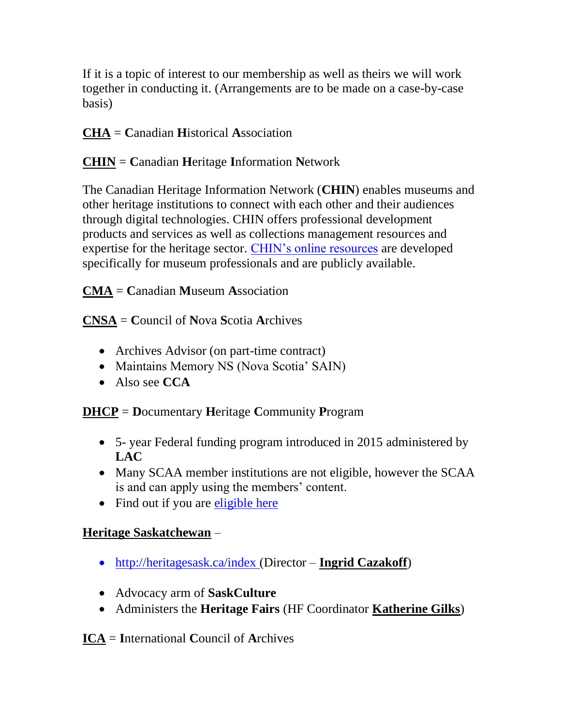If it is a topic of interest to our membership as well as theirs we will work together in conducting it. (Arrangements are to be made on a case-by-case basis)

# **CHA** = **C**anadian **H**istorical **A**ssociation

# **CHIN** = **C**anadian **H**eritage **I**nformation **N**etwork

The Canadian Heritage Information Network (**CHIN**) enables museums and other heritage institutions to connect with each other and their audiences through digital technologies. CHIN offers professional development products and services as well as collections management resources and expertise for the heritage sector. [CHIN's online resources](https://www.canada.ca/en/heritage-information-network.html) are developed specifically for museum professionals and are publicly available.

**CMA** = **C**anadian **M**useum **A**ssociation

**CNSA** = **C**ouncil of **N**ova **S**cotia **A**rchives

- Archives Advisor (on part-time contract)
- Maintains Memory NS (Nova Scotia' SAIN)
- Also see **CCA**

**DHCP** = **D**ocumentary **H**eritage **C**ommunity **P**rogram

- 5- year Federal funding program introduced in 2015 administered by **LAC**
- Many SCAA member institutions are not eligible, however the SCAA is and can apply using the members' content.
- Find out if you are [eligible](https://www.bac-lac.gc.ca/eng/services/documentary-heritage-communities-program/Pages/dhcp.aspx) here

# **Heritage Saskatchewan** –

- <http://heritagesask.ca/index> (Director **Ingrid Cazakoff**)
- Advocacy arm of **SaskCulture**
- Administers the **Heritage Fairs** (HF Coordinator **Katherine Gilks**)

**ICA** = **I**nternational **C**ouncil of **A**rchives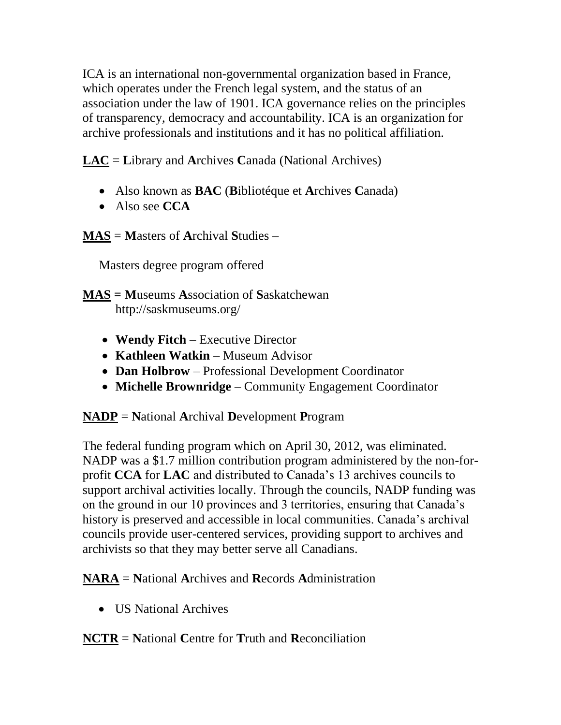ICA is an international non-governmental organization based in France, which operates under the French legal system, and the status of an association under the law of 1901. ICA governance relies on the principles of transparency, democracy and accountability. ICA is an organization for archive professionals and institutions and it has no political affiliation.

**LAC** = **L**ibrary and **A**rchives **C**anada (National Archives)

- Also known as **BAC** (**B**ibliotéque et **A**rchives **C**anada)
- Also see **CCA**

**MAS** = **M**asters of **A**rchival **S**tudies –

Masters degree program offered

**MAS = M**useums **A**ssociation of **S**askatchewan http://saskmuseums.org/

- **Wendy Fitch** Executive Director
- **Kathleen Watkin** Museum Advisor
- **Dan Holbrow** Professional Development Coordinator
- **Michelle Brownridge** Community Engagement Coordinator

**NADP** = **N**ational **A**rchival **D**evelopment **P**rogram

The federal funding program which on April 30, 2012, was eliminated. NADP was a \$1.7 million contribution program administered by the non-forprofit **CCA** for **LAC** and distributed to Canada's 13 archives councils to support archival activities locally. Through the councils, NADP funding was on the ground in our 10 provinces and 3 territories, ensuring that Canada's history is preserved and accessible in local communities. Canada's archival councils provide user-centered services, providing support to archives and archivists so that they may better serve all Canadians.

**NARA** = **N**ational **A**rchives and **R**ecords **A**dministration

• **US National Archives** 

**NCTR** = **N**ational **C**entre for **T**ruth and **R**econciliation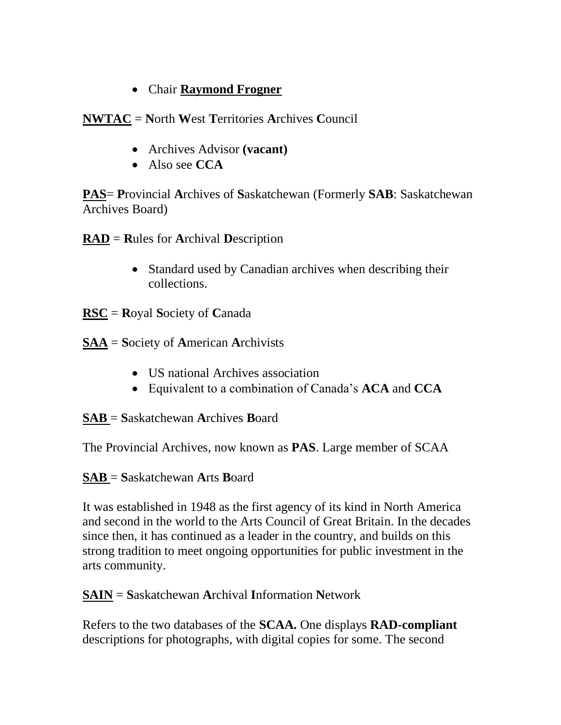## • Chair **Raymond Frogner**

**NWTAC** = **N**orth **W**est **T**erritories **A**rchives **C**ouncil

- Archives Advisor **(vacant)**
- Also see **CCA**

**PAS**= **P**rovincial **A**rchives of **S**askatchewan (Formerly **SAB**: Saskatchewan Archives Board)

**RAD** = **R**ules for **A**rchival **D**escription

- Standard used by Canadian archives when describing their collections.
- **RSC** = **R**oyal **S**ociety of **C**anada
- **SAA** = **S**ociety of **A**merican **A**rchivists
	- US national Archives association
	- Equivalent to a combination of Canada's **ACA** and **CCA**

**SAB** = **S**askatchewan **A**rchives **B**oard

The Provincial Archives, now known as **PAS**. Large member of SCAA

**SAB** = **S**askatchewan **A**rts **B**oard

It was established in 1948 as the first agency of its kind in North America and second in the world to the Arts Council of Great Britain. In the decades since then, it has continued as a leader in the country, and builds on this strong tradition to meet ongoing opportunities for public investment in the arts community.

**SAIN** = **S**askatchewan **A**rchival **I**nformation **N**etwork

Refers to the two databases of the **SCAA.** One displays **RAD-compliant** descriptions for photographs, with digital copies for some. The second